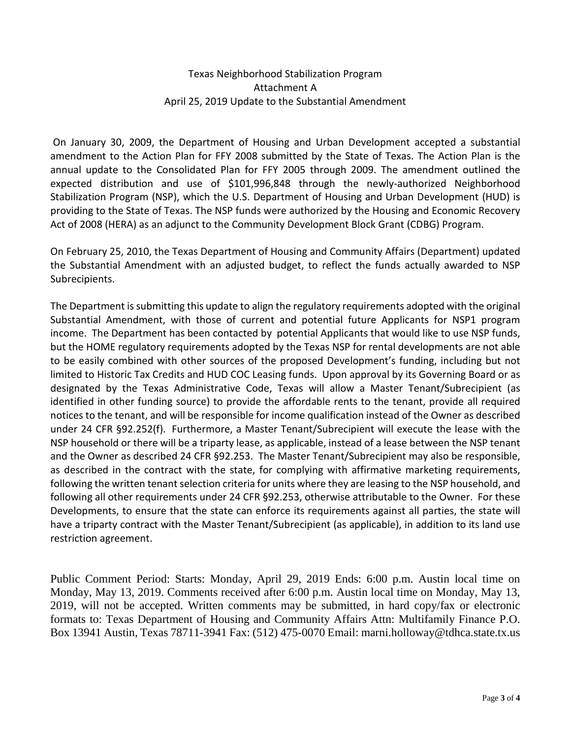## Texas Neighborhood Stabilization Program Attachment A April 25, 2019 Update to the Substantial Amendment

On January 30, 2009, the Department of Housing and Urban Development accepted a substantial amendment to the Action Plan for FFY 2008 submitted by the State of Texas. The Action Plan is the annual update to the Consolidated Plan for FFY 2005 through 2009. The amendment outlined the expected distribution and use of \$101,996,848 through the newly-authorized Neighborhood Stabilization Program (NSP), which the U.S. Department of Housing and Urban Development (HUD) is providing to the State of Texas. The NSP funds were authorized by the Housing and Economic Recovery Act of 2008 (HERA) as an adjunct to the Community Development Block Grant (CDBG) Program.

On February 25, 2010, the Texas Department of Housing and Community Affairs (Department) updated the Substantial Amendment with an adjusted budget, to reflect the funds actually awarded to NSP Subrecipients.

The Department is submitting this update to align the regulatory requirements adopted with the original Substantial Amendment, with those of current and potential future Applicants for NSP1 program income. The Department has been contacted by potential Applicants that would like to use NSP funds, but the HOME regulatory requirements adopted by the Texas NSP for rental developments are not able to be easily combined with other sources of the proposed Development's funding, including but not limited to Historic Tax Credits and HUD COC Leasing funds. Upon approval by its Governing Board or as designated by the Texas Administrative Code, Texas will allow a Master Tenant/Subrecipient (as identified in other funding source) to provide the affordable rents to the tenant, provide all required notices to the tenant, and will be responsible for income qualification instead of the Owner as described under 24 CFR §92.252(f). Furthermore, a Master Tenant/Subrecipient will execute the lease with the NSP household or there will be a triparty lease, as applicable, instead of a lease between the NSP tenant and the Owner as described 24 CFR §92.253. The Master Tenant/Subrecipient may also be responsible, as described in the contract with the state, for complying with affirmative marketing requirements, following the written tenant selection criteria for units where they are leasing to the NSP household, and following all other requirements under 24 CFR §92.253, otherwise attributable to the Owner. For these Developments, to ensure that the state can enforce its requirements against all parties, the state will have a triparty contract with the Master Tenant/Subrecipient (as applicable), in addition to its land use restriction agreement.

Public Comment Period: Starts: Monday, April 29, 2019 Ends: 6:00 p.m. Austin local time on Monday, May 13, 2019. Comments received after 6:00 p.m. Austin local time on Monday, May 13, 2019, will not be accepted. Written comments may be submitted, in hard copy/fax or electronic formats to: Texas Department of Housing and Community Affairs Attn: Multifamily Finance P.O. Box 13941 Austin, Texas 78711-3941 Fax: (512) 475-0070 Email: marni.holloway@tdhca.state.tx.us